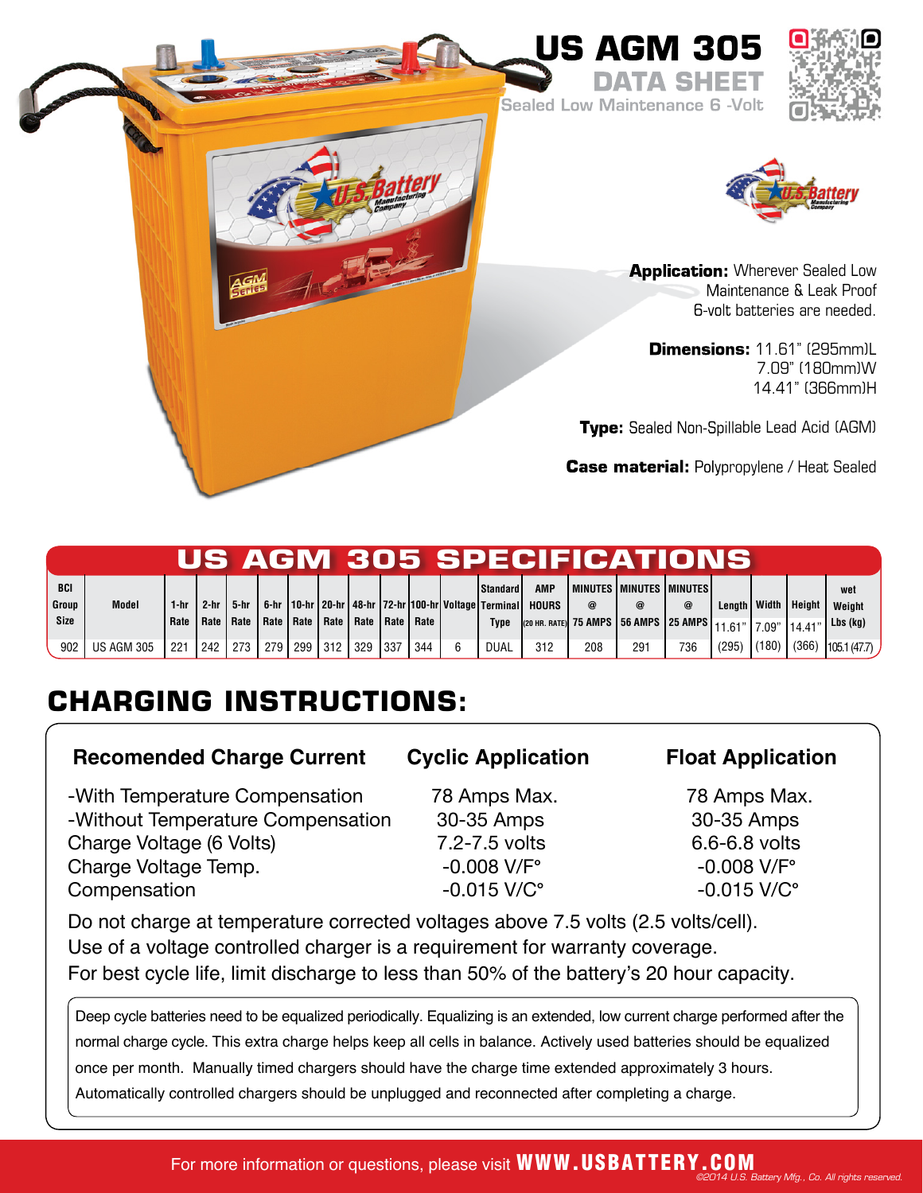

Sealed Low Maintenance 6 -Volt

**DATA SHEET**





**Application:** Wherever Sealed Low Maintenance & Leak Proof 6-volt batteries are needed.

**Dimensions:** 11.61" (295mm)L 7.09" (180mm)W 14.41" (366mm)H

**Type:** Sealed Non-Spillable Lead Acid (AGM)

**Case material:** Polypropylene / Heat Sealed

|                     |                   |      |      |                           |      |     |         |                           |     |     |                                                                                         |                     |          | US AGM 305 SPECIFICATIONS                                    |            |                 |        |               |
|---------------------|-------------------|------|------|---------------------------|------|-----|---------|---------------------------|-----|-----|-----------------------------------------------------------------------------------------|---------------------|----------|--------------------------------------------------------------|------------|-----------------|--------|---------------|
| <b>BCI</b><br>Group | <b>Model</b>      | 1-hr | 2-hr | 5-hr                      |      |     |         |                           |     |     | <b>Standard</b><br>  6-hr   10-hr   20-hr   48-hr   72-hr   100-hr   Voltage   Terminal | AMP<br><b>HOURS</b> | $\omega$ | I MINUTES I MINUTES I MINUTES I                              | $^{\circ}$ | Lenath   Width  | Height | wet<br>Weight |
| <b>Size</b>         |                   | Rate |      | Rate   Rate   Rate   Rate |      |     |         | Rate   Rate   Rate   Rate |     |     | Type                                                                                    |                     |          | (20 нr. rate) 75 AMPS   56 AMPS   25 AMPS   11.61"   7.09" ' |            |                 | 14.41  | $Lbs$ (kg)    |
| 902                 | <b>US AGM 305</b> | 221  | 242  | 273                       | 1279 | 299 | 312 329 |                           | 337 | 344 | DUAL                                                                                    | 312                 | 208      | 291                                                          | 736        | $(295)$ $(180)$ | (366)  | 105.1(47.7)   |

# **CHARGING INSTRUCTIONS:**

## **Recomended Charge Current Cyclic Application Float Application**

-With Temperature Compensation 78 Amps Max. 78 Amps Max. -Without Temperature Compensation 30-35 Amps 30-35 Amps Charge Voltage (6 Volts)  $7.2 - 7.5$  volts 6.6-6.8 volts Charge Voltage Temp.  $-0.008$  V/F°  $-0.008$  V/F° Compensation -0.015 V/C**°** -0.015 V/C**°**

Do not charge at temperature corrected voltages above 7.5 volts (2.5 volts/cell). Use of a voltage controlled charger is a requirement for warranty coverage. For best cycle life, limit discharge to less than 50% of the battery's 20 hour capacity.

Deep cycle batteries need to be equalized periodically. Equalizing is an extended, low current charge performed after the normal charge cycle. This extra charge helps keep all cells in balance. Actively used batteries should be equalized once per month. Manually timed chargers should have the charge time extended approximately 3 hours. Automatically controlled chargers should be unplugged and reconnected after completing a charge.